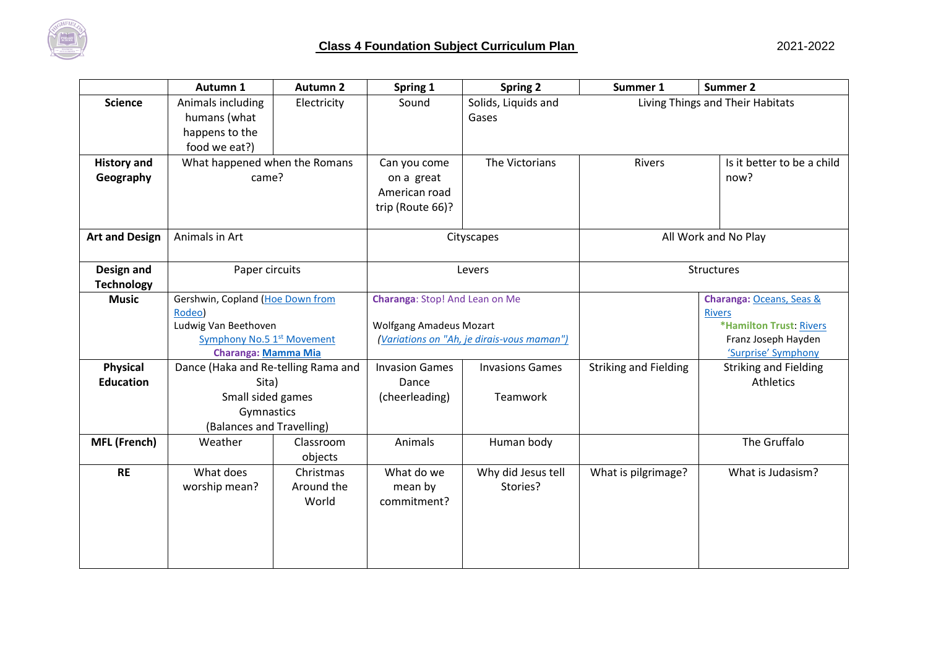

|                                 | Autumn 1                                                             | <b>Autumn 2</b>      | Spring 1                                        | <b>Spring 2</b>                | Summer 1                     | <b>Summer 2</b>                            |
|---------------------------------|----------------------------------------------------------------------|----------------------|-------------------------------------------------|--------------------------------|------------------------------|--------------------------------------------|
| <b>Science</b>                  | Animals including<br>humans (what<br>happens to the<br>food we eat?) | Electricity          | Sound                                           | Solids, Liquids and<br>Gases   |                              | Living Things and Their Habitats           |
| <b>History and</b>              | What happened when the Romans                                        |                      | Can you come                                    | The Victorians                 | Rivers                       | Is it better to be a child                 |
| Geography                       | came?                                                                |                      | on a great<br>American road<br>trip (Route 66)? |                                |                              | now?                                       |
| <b>Art and Design</b>           | Animals in Art                                                       |                      | Cityscapes                                      |                                | All Work and No Play         |                                            |
| Design and<br><b>Technology</b> | Paper circuits                                                       |                      | Levers                                          |                                | Structures                   |                                            |
| <b>Music</b>                    | Gershwin, Copland (Hoe Down from<br>Rodeo)                           |                      |                                                 | Charanga: Stop! And Lean on Me |                              | Charanga: Oceans, Seas &                   |
|                                 |                                                                      |                      |                                                 |                                |                              | <b>Rivers</b>                              |
|                                 | Ludwig Van Beethoven                                                 |                      | <b>Wolfgang Amadeus Mozart</b>                  |                                |                              | *Hamilton Trust: Rivers                    |
|                                 | Symphony No.5 1 <sup>st</sup> Movement<br>Charanga: Mamma Mia        |                      | (Variations on "Ah, je dirais-vous maman")      |                                |                              | Franz Joseph Hayden<br>'Surprise' Symphony |
| <b>Physical</b>                 | Dance (Haka and Re-telling Rama and                                  |                      | <b>Invasion Games</b>                           | <b>Invasions Games</b>         | <b>Striking and Fielding</b> | <b>Striking and Fielding</b>               |
| <b>Education</b>                | Sita)                                                                |                      | Dance                                           |                                |                              | <b>Athletics</b>                           |
|                                 | Small sided games                                                    |                      | (cheerleading)                                  | Teamwork                       |                              |                                            |
|                                 | Gymnastics                                                           |                      |                                                 |                                |                              |                                            |
|                                 | (Balances and Travelling)                                            |                      |                                                 |                                |                              |                                            |
| <b>MFL (French)</b>             | Weather                                                              | Classroom<br>objects | Animals                                         | Human body                     |                              | The Gruffalo                               |
| <b>RE</b>                       | What does                                                            | Christmas            | What do we                                      | Why did Jesus tell             | What is pilgrimage?          | What is Judasism?                          |
|                                 | worship mean?                                                        | Around the<br>World  | mean by<br>commitment?                          | Stories?                       |                              |                                            |
|                                 |                                                                      |                      |                                                 |                                |                              |                                            |